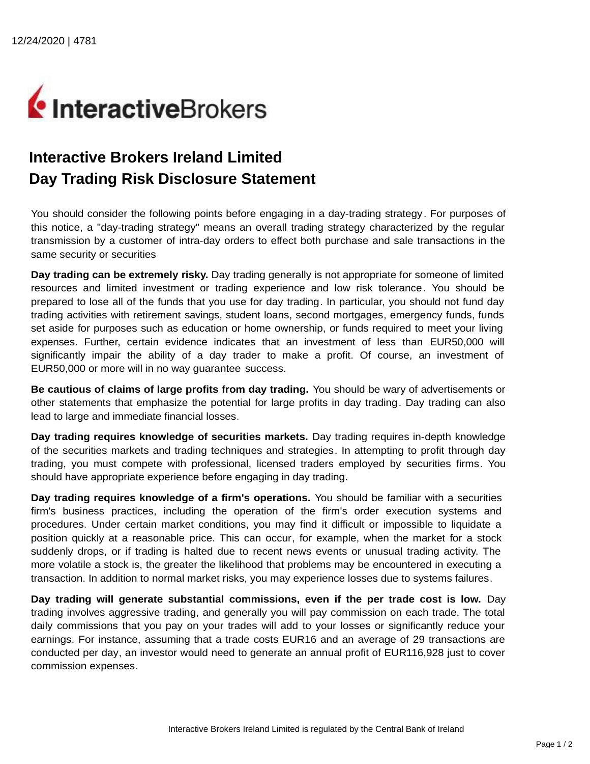

## **Interactive Brokers Ireland Limited Day Trading Risk Disclosure Statement**

You should consider the following points before engaging in a day-trading strategy. For purposes of this notice, a "day-trading strategy" means an overall trading strategy characterized by the regular transmission by a customer of intra-day orders to effect both purchase and sale transactions in the same security or securities

**Day trading can be extremely risky.** Day trading generally is not appropriate for someone of limited resources and limited investment or trading experience and low risk tolerance. You should be prepared to lose all of the funds that you use for day trading. In particular, you should not fund day trading activities with retirement savings, student loans, second mortgages, emergency funds, funds set aside for purposes such as education or home ownership, or funds required to meet your living expenses. Further, certain evidence indicates that an investment of less than EUR50,000 will significantly impair the ability of a day trader to make a profit. Of course, an investment of EUR50,000 or more will in no way guarantee success.

**Be cautious of claims of large profits from day trading.** You should be wary of advertisements or other statements that emphasize the potential for large profits in day trading. Day trading can also lead to large and immediate financial losses.

**Day trading requires knowledge of securities markets.** Day trading requires in-depth knowledge of the securities markets and trading techniques and strategies. In attempting to profit through day trading, you must compete with professional, licensed traders employed by securities firms. You should have appropriate experience before engaging in day trading.

**Day trading requires knowledge of a firm's operations.** You should be familiar with a securities firm's business practices, including the operation of the firm's order execution systems and procedures. Under certain market conditions, you may find it difficult or impossible to liquidate a position quickly at a reasonable price. This can occur, for example, when the market for a stock suddenly drops, or if trading is halted due to recent news events or unusual trading activity. The more volatile a stock is, the greater the likelihood that problems may be encountered in executing a transaction. In addition to normal market risks, you may experience losses due to systems failures.

**Day trading will generate substantial commissions, even if the per trade cost is low.** Day trading involves aggressive trading, and generally you will pay commission on each trade. The total daily commissions that you pay on your trades will add to your losses or significantly reduce your earnings. For instance, assuming that a trade costs EUR16 and an average of 29 transactions are conducted per day, an investor would need to generate an annual profit of EUR116,928 just to cover commission expenses.